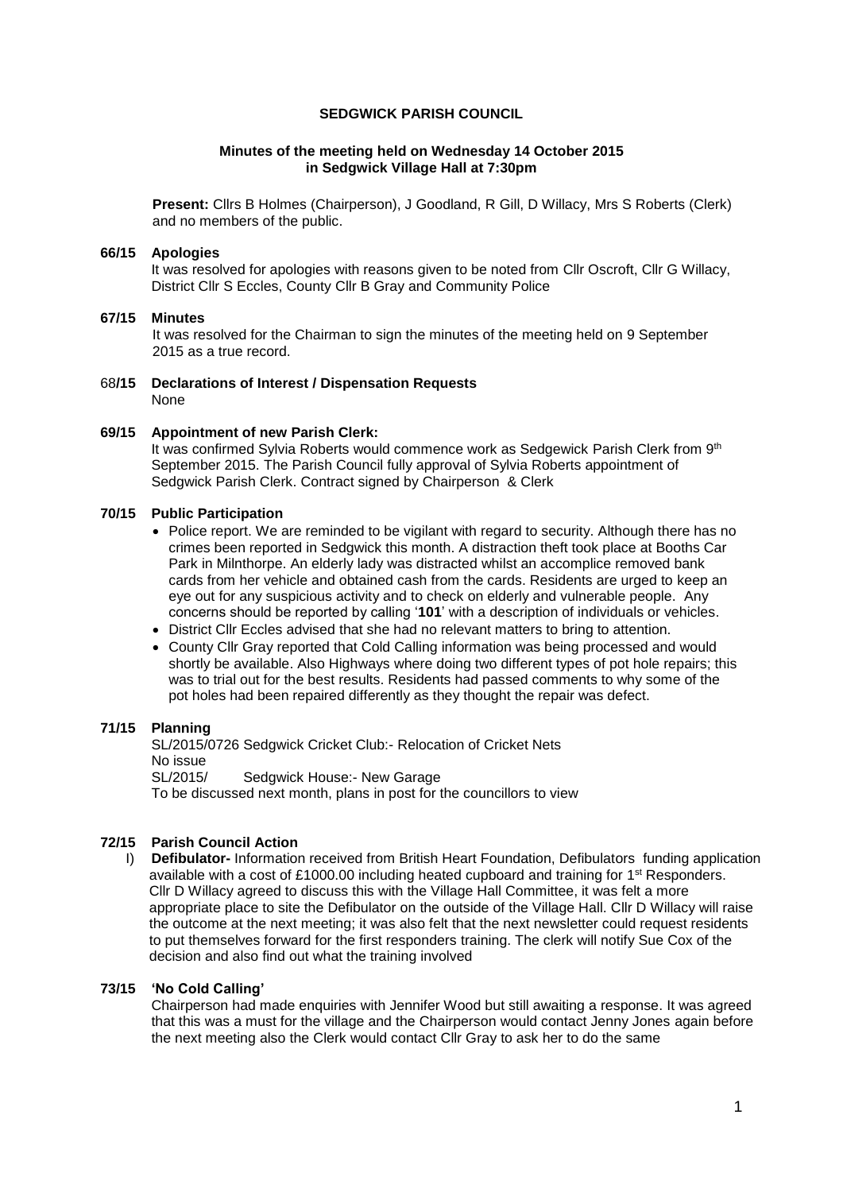### **SEDGWICK PARISH COUNCIL**

#### **Minutes of the meeting held on Wednesday 14 October 2015 in Sedgwick Village Hall at 7:30pm**

**Present:** Cllrs B Holmes (Chairperson), J Goodland, R Gill, D Willacy, Mrs S Roberts (Clerk) and no members of the public.

#### **66/15 Apologies**

It was resolved for apologies with reasons given to be noted from Cllr Oscroft, Cllr G Willacy, District Cllr S Eccles, County Cllr B Gray and Community Police

### **67/15 Minutes**

It was resolved for the Chairman to sign the minutes of the meeting held on 9 September 2015 as a true record.

68**/15 Declarations of Interest / Dispensation Requests** None

#### **69/15 Appointment of new Parish Clerk:**

It was confirmed Sylvia Roberts would commence work as Sedgewick Parish Clerk from 9th September 2015. The Parish Council fully approval of Sylvia Roberts appointment of Sedgwick Parish Clerk. Contract signed by Chairperson & Clerk

### **70/15 Public Participation**

- Police report. We are reminded to be vigilant with regard to security. Although there has no crimes been reported in Sedgwick this month. A distraction theft took place at Booths Car Park in Milnthorpe. An elderly lady was distracted whilst an accomplice removed bank cards from her vehicle and obtained cash from the cards. Residents are urged to keep an eye out for any suspicious activity and to check on elderly and vulnerable people. Any concerns should be reported by calling '**101**' with a description of individuals or vehicles.
- District Cllr Eccles advised that she had no relevant matters to bring to attention.
- County Cllr Gray reported that Cold Calling information was being processed and would shortly be available. Also Highways where doing two different types of pot hole repairs; this was to trial out for the best results. Residents had passed comments to why some of the pot holes had been repaired differently as they thought the repair was defect.

### **71/15 Planning**

SL/2015/0726 Sedgwick Cricket Club:- Relocation of Cricket Nets No issue SL/2015/ Sedgwick House:- New Garage To be discussed next month, plans in post for the councillors to view

# **72/15 Parish Council Action**

I) **Defibulator-** Information received from British Heart Foundation, Defibulators funding application available with a cost of £1000.00 including heated cupboard and training for 1<sup>st</sup> Responders. Cllr D Willacy agreed to discuss this with the Village Hall Committee, it was felt a more appropriate place to site the Defibulator on the outside of the Village Hall. Cllr D Willacy will raise the outcome at the next meeting; it was also felt that the next newsletter could request residents to put themselves forward for the first responders training. The clerk will notify Sue Cox of the decision and also find out what the training involved

#### **73/15 'No Cold Calling'**

Chairperson had made enquiries with Jennifer Wood but still awaiting a response. It was agreed that this was a must for the village and the Chairperson would contact Jenny Jones again before the next meeting also the Clerk would contact Cllr Gray to ask her to do the same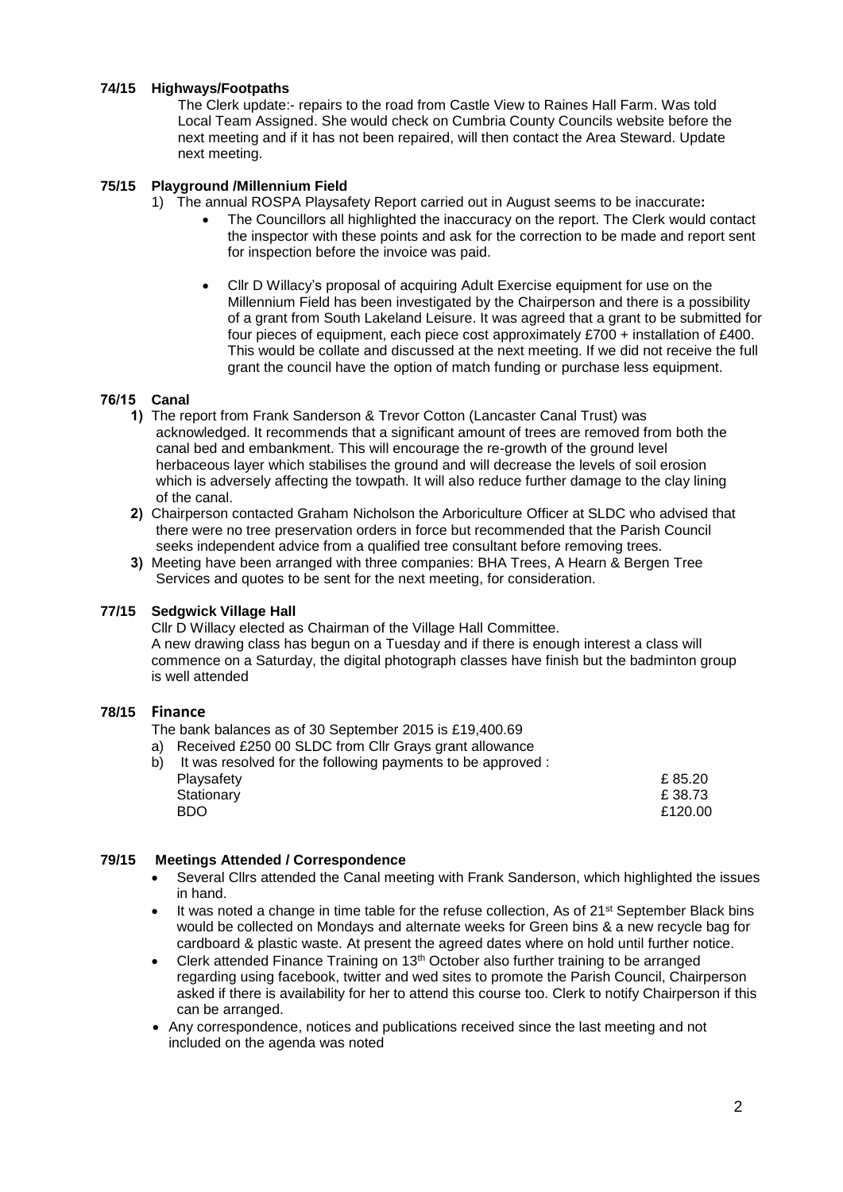# **74/15 Highways/Footpaths**

The Clerk update:- repairs to the road from Castle View to Raines Hall Farm. Was told Local Team Assigned. She would check on Cumbria County Councils website before the next meeting and if it has not been repaired, will then contact the Area Steward. Update next meeting.

### **75/15 Playground /Millennium Field**

- 1) The annual ROSPA Playsafety Report carried out in August seems to be inaccurate**:** 
	- The Councillors all highlighted the inaccuracy on the report. The Clerk would contact the inspector with these points and ask for the correction to be made and report sent for inspection before the invoice was paid.
	- Cllr D Willacy's proposal of acquiring Adult Exercise equipment for use on the Millennium Field has been investigated by the Chairperson and there is a possibility of a grant from South Lakeland Leisure. It was agreed that a grant to be submitted for four pieces of equipment, each piece cost approximately £700 + installation of £400. This would be collate and discussed at the next meeting. If we did not receive the full grant the council have the option of match funding or purchase less equipment.

# **76/15 Canal**

- **1)** The report from Frank Sanderson & Trevor Cotton (Lancaster Canal Trust) was acknowledged. It recommends that a significant amount of trees are removed from both the canal bed and embankment. This will encourage the re-growth of the ground level herbaceous layer which stabilises the ground and will decrease the levels of soil erosion which is adversely affecting the towpath. It will also reduce further damage to the clay lining of the canal.
- **2)** Chairperson contacted Graham Nicholson the Arboriculture Officer at SLDC who advised that there were no tree preservation orders in force but recommended that the Parish Council seeks independent advice from a qualified tree consultant before removing trees.
- **3)** Meeting have been arranged with three companies: BHA Trees, A Hearn & Bergen Tree Services and quotes to be sent for the next meeting, for consideration.

### **77/15 Sedgwick Village Hall**

Cllr D Willacy elected as Chairman of the Village Hall Committee. A new drawing class has begun on a Tuesday and if there is enough interest a class will commence on a Saturday, the digital photograph classes have finish but the badminton group is well attended

## **78/15 Finance**

The bank balances as of 30 September 2015 is £19,400.69

- a) Received £250 00 SLDC from Cllr Grays grant allowance
- b) It was resolved for the following payments to be approved : Playsafety **E** 85.20 Stationary **E** 38.73  $BDO$   $E120.00$

## **79/15 Meetings Attended / Correspondence**

- Several Cllrs attended the Canal meeting with Frank Sanderson, which highlighted the issues in hand.
- It was noted a change in time table for the refuse collection, As of 21<sup>st</sup> September Black bins would be collected on Mondays and alternate weeks for Green bins & a new recycle bag for cardboard & plastic waste. At present the agreed dates where on hold until further notice.
- Clerk attended Finance Training on  $13<sup>th</sup>$  October also further training to be arranged regarding using facebook, twitter and wed sites to promote the Parish Council, Chairperson asked if there is availability for her to attend this course too. Clerk to notify Chairperson if this can be arranged.
- Any correspondence, notices and publications received since the last meeting and not included on the agenda was noted